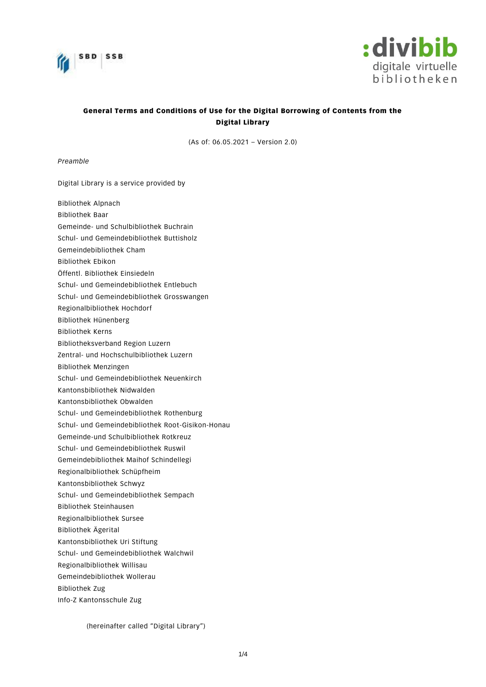



# General Terms and Conditions of Use for the Digital Borrowing of Contents from the Digital Library

(As of: 06.05.2021 – Version 2.0)

*Preamble*

Digital Library is a service provided by

- Bibliothek Alpnach
- Bibliothek Baar
- Gemeinde- und Schulbibliothek Buchrain
- Schul- und Gemeindebibliothek Buttisholz
- Gemeindebibliothek Cham
- Bibliothek Ebikon
- Öffentl. Bibliothek Einsiedeln
- Schul- und Gemeindebibliothek Entlebuch
- Schul- und Gemeindebibliothek Grosswangen
- Regionalbibliothek Hochdorf
- Bibliothek Hünenberg
- Bibliothek Kerns
- Bibliotheksverband Region Luzern
- Zentral- und Hochschulbibliothek Luzern
- Bibliothek Menzingen
- Schul- und Gemeindebibliothek Neuenkirch
- Kantonsbibliothek Nidwalden
- Kantonsbibliothek Obwalden
- Schul- und Gemeindebibliothek Rothenburg
- Schul- und Gemeindebibliothek Root-Gisikon-Honau
- Gemeinde-und Schulbibliothek Rotkreuz
- Schul- und Gemeindebibliothek Ruswil
- Gemeindebibliothek Maihof Schindellegi
- Regionalbibliothek Schüpfheim
- Kantonsbibliothek Schwyz
- Schul- und Gemeindebibliothek Sempach
- Bibliothek Steinhausen
- Regionalbibliothek Sursee
- Bibliothek Ägerital
- Kantonsbibliothek Uri Stiftung
- Schul- und Gemeindebibliothek Walchwil
- Regionalbibliothek Willisau
- Gemeindebibliothek Wollerau
- Bibliothek Zug
- Info-Z Kantonsschule Zug

(hereinafter called "Digital Library")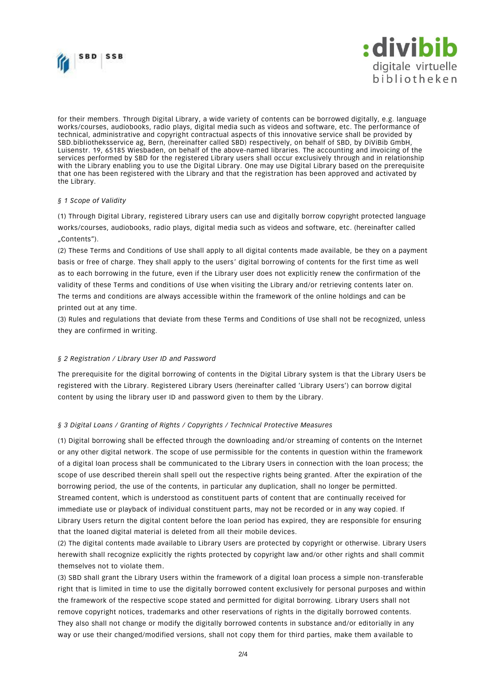



for their members. Through Digital Library, a wide variety of contents can be borrowed digitally, e.g. language works/courses, audiobooks, radio plays, digital media such as videos and software, etc. The performance of technical, administrative and copyright contractual aspects of this innovative service shall be provided by SBD.bibliotheksservice ag, Bern, (hereinafter called SBD) respectively, on behalf of SBD, by DiViBib GmbH, Luisenstr. 19, 65185 Wiesbaden, on behalf of the above-named libraries. The accounting and invoicing of the services performed by SBD for the registered Library users shall occur exclusively through and in relationship with the Library enabling you to use the Digital Library. One may use Digital Library based on the prerequisite that one has been registered with the Library and that the registration has been approved and activated by the Library.

### *§ 1 Scope of Validity*

(1) Through Digital Library, registered Library users can use and digitally borrow copyright protected language works/courses, audiobooks, radio plays, digital media such as videos and software, etc. (hereinafter called "Contents").

(2) These Terms and Conditions of Use shall apply to all digital contents made available, be they on a payment basis or free of charge. They shall apply to the users' digital borrowing of contents for the first time as well as to each borrowing in the future, even if the Library user does not explicitly renew the confirmation of the validity of these Terms and conditions of Use when visiting the Library and/or retrieving contents later on. The terms and conditions are always accessible within the framework of the online holdings and can be printed out at any time.

(3) Rules and regulations that deviate from these Terms and Conditions of Use shall not be recognized, unless they are confirmed in writing.

# *§ 2 Registration / Library User ID and Password*

The prerequisite for the digital borrowing of contents in the Digital Library system is that the Library Users be registered with the Library. Registered Library Users (hereinafter called 'Library Users') can borrow digital content by using the library user ID and password given to them by the Library.

#### *§ 3 Digital Loans / Granting of Rights / Copyrights / Technical Protective Measures*

(1) Digital borrowing shall be effected through the downloading and/or streaming of contents on the Internet or any other digital network. The scope of use permissible for the contents in question within the framework of a digital loan process shall be communicated to the Library Users in connection with the loan process; the scope of use described therein shall spell out the respective rights being granted. After the expiration of the borrowing period, the use of the contents, in particular any duplication, shall no longer be permitted. Streamed content, which is understood as constituent parts of content that are continually received for immediate use or playback of individual constituent parts, may not be recorded or in any way copied. If Library Users return the digital content before the loan period has expired, they are responsible for ensuring that the loaned digital material is deleted from all their mobile devices.

(2) The digital contents made available to Library Users are protected by copyright or otherwise. Library Users herewith shall recognize explicitly the rights protected by copyright law and/or other rights and shall commit themselves not to violate them.

(3) SBD shall grant the Library Users within the framework of a digital loan process a simple non-transferable right that is limited in time to use the digitally borrowed content exclusively for personal purposes and within the framework of the respective scope stated and permitted for digital borrowing. Library Users shall not remove copyright notices, trademarks and other reservations of rights in the digitally borrowed contents. They also shall not change or modify the digitally borrowed contents in substance and/or editorially in any way or use their changed/modified versions, shall not copy them for third parties, make them a vailable to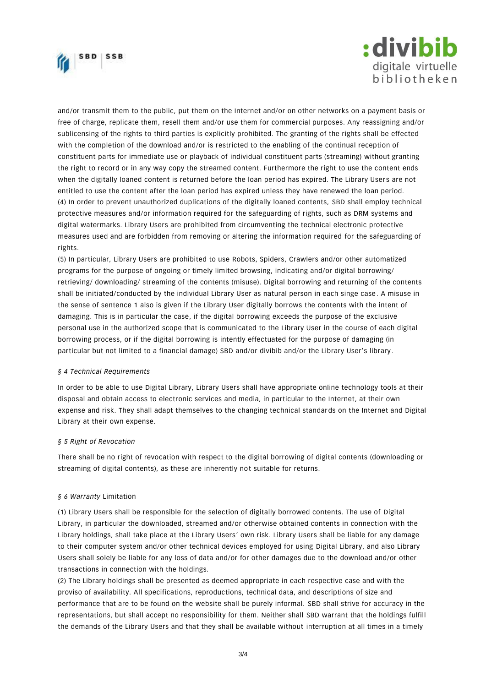



and/or transmit them to the public, put them on the Internet and/or on other networks on a payment basis or free of charge, replicate them, resell them and/or use them for commercial purposes. Any reassigning and/or sublicensing of the rights to third parties is explicitly prohibited. The granting of the rights shall be effected with the completion of the download and/or is restricted to the enabling of the continual reception of constituent parts for immediate use or playback of individual constituent parts (streaming) without granting the right to record or in any way copy the streamed content. Furthermore the right to use the content ends when the digitally loaned content is returned before the loan period has expired. The Library Users are not entitled to use the content after the loan period has expired unless they have renewed the loan period. (4) In order to prevent unauthorized duplications of the digitally loaned contents, SBD shall employ technical protective measures and/or information required for the safeguarding of rights, such as DRM systems and digital watermarks. Library Users are prohibited from circumventing the technical electronic protective measures used and are forbidden from removing or altering the information required for the safeguarding of rights.

(5) In particular, Library Users are prohibited to use Robots, Spiders, Crawlers and/or other automatized programs for the purpose of ongoing or timely limited browsing, indicating and/or digital borrowing/ retrieving/ downloading/ streaming of the contents (misuse). Digital borrowing and returning of the contents shall be initiated/conducted by the individual Library User as natural person in each singe case. A misuse in the sense of sentence 1 also is given if the Library User digitally borrows the contents with the intent of damaging. This is in particular the case, if the digital borrowing exceeds the purpose of the exclusive personal use in the authorized scope that is communicated to the Library User in the course of each digital borrowing process, or if the digital borrowing is intently effectuated for the purpose of damaging (in particular but not limited to a financial damage) SBD and/or divibib and/or the Library User's library.

# *§ 4 Technical Requirements*

In order to be able to use Digital Library, Library Users shall have appropriate online technology tools at their disposal and obtain access to electronic services and media, in particular to the Internet, at their own expense and risk. They shall adapt themselves to the changing technical standar ds on the Internet and Digital Library at their own expense.

#### *§ 5 Right of Revocation*

There shall be no right of revocation with respect to the digital borrowing of digital contents (downloading or streaming of digital contents), as these are inherently not suitable for returns.

#### *§ 6 Warranty* Limitation

(1) Library Users shall be responsible for the selection of digitally borrowed contents. The use of Digital Library, in particular the downloaded, streamed and/or otherwise obtained contents in connection with the Library holdings, shall take place at the Library Users' own risk. Library Users shall be liable for any damage to their computer system and/or other technical devices employed for using Digital Library, and also Library Users shall solely be liable for any loss of data and/or for other damages due to the download and/or other transactions in connection with the holdings.

(2) The Library holdings shall be presented as deemed appropriate in each respective case and with the proviso of availability. All specifications, reproductions, technical data, and descriptions of size and performance that are to be found on the website shall be purely informal. SBD shall strive for accuracy in the representations, but shall accept no responsibility for them. Neither shall SBD warrant that the holdings fulfill the demands of the Library Users and that they shall be available without interruption at all times in a timely